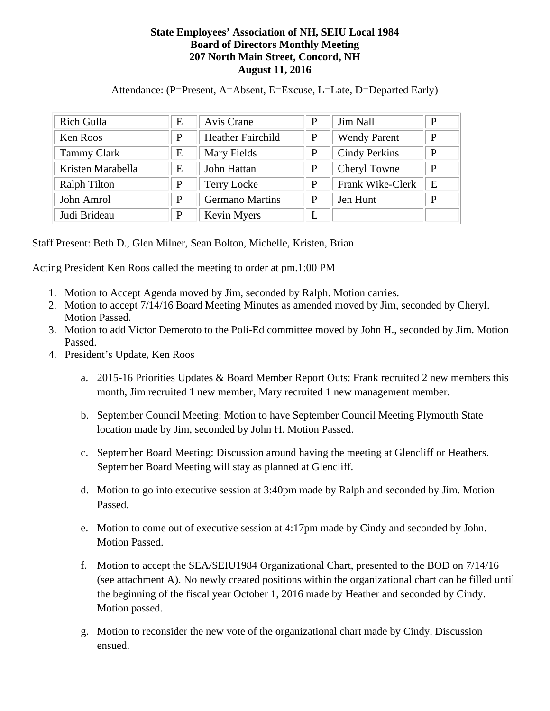## **State Employees' Association of NH, SEIU Local 1984 Board of Directors Monthly Meeting 207 North Main Street, Concord, NH August 11, 2016**

Attendance: (P=Present, A=Absent, E=Excuse, L=Late, D=Departed Early)

| Rich Gulla          | E | Avis Crane               | P | <b>Jim Nall</b>      | P |
|---------------------|---|--------------------------|---|----------------------|---|
| Ken Roos            | P | <b>Heather Fairchild</b> | P | <b>Wendy Parent</b>  | P |
| <b>Tammy Clark</b>  | E | Mary Fields              | P | <b>Cindy Perkins</b> | P |
| Kristen Marabella   | E | John Hattan              | P | Cheryl Towne         | P |
| <b>Ralph Tilton</b> | P | Terry Locke              | P | Frank Wike-Clerk     | E |
| John Amrol          | P | <b>Germano Martins</b>   | P | Jen Hunt             | P |
| Judi Brideau        | P | Kevin Myers              | L |                      |   |

Staff Present: Beth D., Glen Milner, Sean Bolton, Michelle, Kristen, Brian

Acting President Ken Roos called the meeting to order at pm.1:00 PM

- 1. Motion to Accept Agenda moved by Jim, seconded by Ralph. Motion carries.
- 2. Motion to accept 7/14/16 Board Meeting Minutes as amended moved by Jim, seconded by Cheryl. Motion Passed.
- 3. Motion to add Victor Demeroto to the Poli-Ed committee moved by John H., seconded by Jim. Motion Passed.
- 4. President's Update, Ken Roos
	- a. 2015-16 Priorities Updates & Board Member Report Outs: Frank recruited 2 new members this month, Jim recruited 1 new member, Mary recruited 1 new management member.
	- b. September Council Meeting: Motion to have September Council Meeting Plymouth State location made by Jim, seconded by John H. Motion Passed.
	- c. September Board Meeting: Discussion around having the meeting at Glencliff or Heathers. September Board Meeting will stay as planned at Glencliff.
	- d. Motion to go into executive session at 3:40pm made by Ralph and seconded by Jim. Motion Passed.
	- e. Motion to come out of executive session at 4:17pm made by Cindy and seconded by John. Motion Passed.
	- f. Motion to accept the SEA/SEIU1984 Organizational Chart, presented to the BOD on 7/14/16 (see attachment A). No newly created positions within the organizational chart can be filled until the beginning of the fiscal year October 1, 2016 made by Heather and seconded by Cindy. Motion passed.
	- g. Motion to reconsider the new vote of the organizational chart made by Cindy. Discussion ensued.